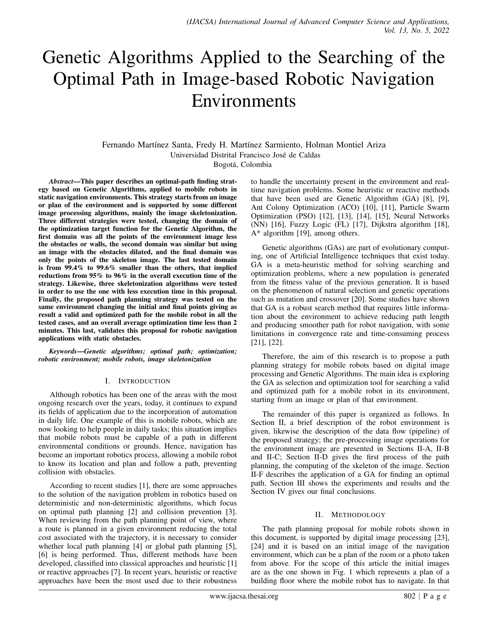# Genetic Algorithms Applied to the Searching of the Optimal Path in Image-based Robotic Navigation Environments

Fernando Martínez Santa, Fredy H. Martínez Sarmiento, Holman Montiel Ariza Universidad Distrital Francisco Jose de Caldas ´

Bogotá, Colombia

*Abstract*—This paper describes an optimal-path finding strategy based on Genetic Algorithms, applied to mobile robots in static navigation environments. This strategy starts from an image or plan of the environment and is supported by some different image processing algorithms, mainly the image skeletonization. Three different strategies were tested, changing the domain of the optimization target function for the Genetic Algorithm, the first domain was all the points of the environment image less the obstacles or walls, the second domain was similar but using an image with the obstacles dilated, and the final domain was only the points of the skeleton image. The last tested domain is from 99.4% to 99.6% smaller than the others, that implied reductions from 95% to 96% in the overall execution time of the strategy. Likewise, three skeletonization algorithms were tested in order to use the one with less execution time in this proposal. Finally, the proposed path planning strategy was tested on the same environment changing the initial and final points giving as result a valid and optimized path for the mobile robot in all the tested cases, and an overall average optimization time less than 2 minutes. This last, validates this proposal for robotic navigation applications with static obstacles.

*Keywords*—*Genetic algorithms; optimal path; optimization; robotic environment; mobile robots, image skeletonization*

## I. INTRODUCTION

Although robotics has been one of the areas with the most ongoing research over the years, today, it continues to expand its fields of application due to the incorporation of automation in daily life. One example of this is mobile robots, which are now looking to help people in daily tasks; this situation implies that mobile robots must be capable of a path in different environmental conditions or grounds. Hence, navigation has become an important robotics process, allowing a mobile robot to know its location and plan and follow a path, preventing collision with obstacles.

According to recent studies [1], there are some approaches to the solution of the navigation problem in robotics based on deterministic and non-deterministic algorithms, which focus on optimal path planning [2] and collision prevention [3]. When reviewing from the path planning point of view, where a route is planned in a given environment reducing the total cost associated with the trajectory, it is necessary to consider whether local path planning [4] or global path planning [5], [6] is being performed. Thus, different methods have been developed, classified into classical approaches and heuristic [1] or reactive approaches [7]. In recent years, heuristic or reactive approaches have been the most used due to their robustness

to handle the uncertainty present in the environment and realtime navigation problems. Some heuristic or reactive methods that have been used are Genetic Algorithm (GA) [8], [9], Ant Colony Optimization (ACO) [10], [11], Particle Swarm Optimization (PSO) [12], [13], [14], [15], Neural Networks (NN) [16], Fuzzy Logic (FL) [17], Dijkstra algorithm [18], A\* algorithm [19], among others.

Genetic algorithms (GAs) are part of evolutionary computing, one of Artificial Intelligence techniques that exist today. GA is a meta-heuristic method for solving searching and optimization problems, where a new population is generated from the fitness value of the previous generation. It is based on the phenomenon of natural selection and genetic operations such as mutation and crossover [20]. Some studies have shown that GA is a robust search method that requires little information about the environment to achieve reducing path length and producing smoother path for robot navigation, with some limitations in convergence rate and time-consuming process [21], [22].

Therefore, the aim of this research is to propose a path planning strategy for mobile robots based on digital image processing and Genetic Algorithms. The main idea is exploring the GA as selection and optimization tool for searching a valid and optimized path for a mobile robot in its environment, starting from an image or plan of that environment.

The remainder of this paper is organized as follows. In Section II, a brief description of the robot environment is given, likewise the description of the data flow (pipeline) of the proposed strategy; the pre-processing image operations for the environment image are presented in Sections II-A, II-B and II-C; Section II-D gives the first process of the path planning, the computing of the skeleton of the image. Section II-F describes the application of a GA for finding an optimal path. Section III shows the experiments and results and the Section IV gives our final conclusions.

## II. METHODOLOGY

The path planning proposal for mobile robots shown in this document, is supported by digital image processing [23], [24] and it is based on an initial image of the navigation environment, which can be a plan of the room or a photo taken from above. For the scope of this article the initial images are as the one shown in Fig. 1 which represents a plan of a building floor where the mobile robot has to navigate. In that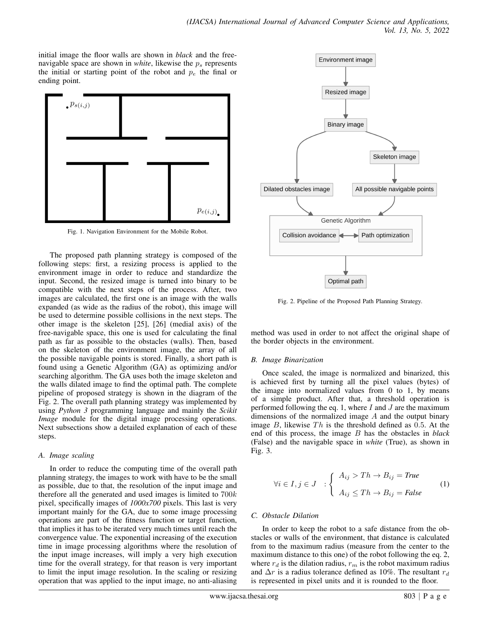initial image the floor walls are shown in *black* and the freenavigable space are shown in *white*, likewise the  $p_s$  represents the initial or starting point of the robot and  $p_e$  the final or ending point.



Fig. 1. Navigation Environment for the Mobile Robot.

The proposed path planning strategy is composed of the following steps: first, a resizing process is applied to the environment image in order to reduce and standardize the input. Second, the resized image is turned into binary to be compatible with the next steps of the process. After, two images are calculated, the first one is an image with the walls expanded (as wide as the radius of the robot), this image will be used to determine possible collisions in the next steps. The other image is the skeleton [25], [26] (medial axis) of the free-navigable space, this one is used for calculating the final path as far as possible to the obstacles (walls). Then, based on the skeleton of the environment image, the array of all the possible navigable points is stored. Finally, a short path is found using a Genetic Algorithm (GA) as optimizing and/or searching algorithm. The GA uses both the image skeleton and the walls dilated image to find the optimal path. The complete pipeline of proposed strategy is shown in the diagram of the Fig. 2. The overall path planning strategy was implemented by using *Python 3* programming language and mainly the *Scikit Image* module for the digital image processing operations. Next subsections show a detailed explanation of each of these steps.

## *A. Image scaling*

In order to reduce the computing time of the overall path planning strategy, the images to work with have to be the small as possible, due to that, the resolution of the input image and therefore all the generated and used images is limited to  $700k$ pixel, specifically images of *1000x700* pixels. This last is very important mainly for the GA, due to some image processing operations are part of the fitness function or target function, that implies it has to be iterated very much times until reach the convergence value. The exponential increasing of the execution time in image processing algorithms where the resolution of the input image increases, will imply a very high execution time for the overall strategy, for that reason is very important to limit the input image resolution. In the scaling or resizing operation that was applied to the input image, no anti-aliasing



Fig. 2. Pipeline of the Proposed Path Planning Strategy.

method was used in order to not affect the original shape of the border objects in the environment.

# *B. Image Binarization*

Once scaled, the image is normalized and binarized, this is achieved first by turning all the pixel values (bytes) of the image into normalized values from  $0$  to  $1$ , by means of a simple product. After that, a threshold operation is performed following the eq. 1, where  $I$  and  $J$  are the maximum dimensions of the normalized image A and the output binary image  $B$ , likewise  $Th$  is the threshold defined as 0.5. At the end of this process, the image B has the obstacles in *black* (False) and the navigable space in *white* (True), as shown in Fig. 3.

$$
\forall i \in I, j \in J \quad : \left\{ \begin{array}{l} A_{ij} > Th \to B_{ij} = \text{True} \\ A_{ij} \leq Th \to B_{ij} = \text{False} \end{array} \right. \tag{1}
$$

# *C. Obstacle Dilation*

In order to keep the robot to a safe distance from the obstacles or walls of the environment, that distance is calculated from to the maximum radius (measure from the center to the maximum distance to this one) of the robot following the eq. 2, where  $r_d$  is the dilation radius,  $r_m$  is the robot maximum radius and  $\Delta r$  is a radius tolerance defined as 10%. The resultant  $r_d$ is represented in pixel units and it is rounded to the floor.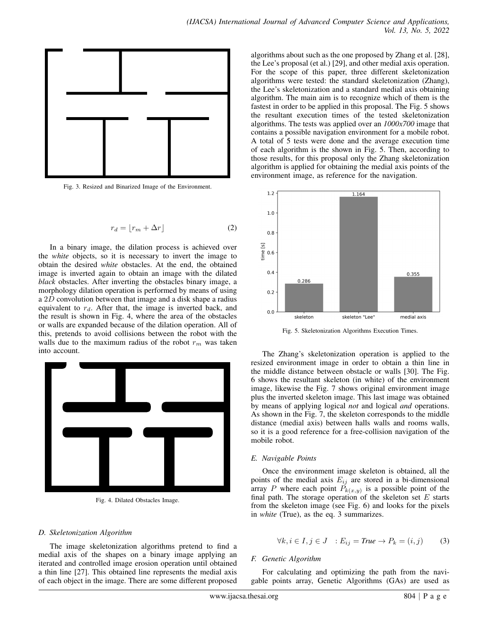

Fig. 3. Resized and Binarized Image of the Environment.

$$
r_d = \lfloor r_m + \Delta r \rfloor \tag{2}
$$

In a binary image, the dilation process is achieved over the *white* objects, so it is necessary to invert the image to obtain the desired *white* obstacles. At the end, the obtained image is inverted again to obtain an image with the dilated *black* obstacles. After inverting the obstacles binary image, a morphology dilation operation is performed by means of using a 2D convolution between that image and a disk shape a radius equivalent to  $r_d$ . After that, the image is inverted back, and the result is shown in Fig. 4, where the area of the obstacles or walls are expanded because of the dilation operation. All of this, pretends to avoid collisions between the robot with the walls due to the maximum radius of the robot  $r_m$  was taken into account.



Fig. 4. Dilated Obstacles Image.

#### *D. Skeletonization Algorithm*

The image skeletonization algorithms pretend to find a medial axis of the shapes on a binary image applying an iterated and controlled image erosion operation until obtained a thin line [27]. This obtained line represents the medial axis of each object in the image. There are some different proposed

algorithms about such as the one proposed by Zhang et al. [28], the Lee's proposal (et al.) [29], and other medial axis operation. For the scope of this paper, three different skeletonization algorithms were tested: the standard skeletonization (Zhang), the Lee's skeletonization and a standard medial axis obtaining algorithm. The main aim is to recognize which of them is the fastest in order to be applied in this proposal. The Fig. 5 shows the resultant execution times of the tested skeletonization algorithms. The tests was applied over an *1000x700* image that contains a possible navigation environment for a mobile robot. A total of 5 tests were done and the average execution time of each algorithm is the shown in Fig. 5. Then, according to those results, for this proposal only the Zhang skeletonization algorithm is applied for obtaining the medial axis points of the environment image, as reference for the navigation.



Fig. 5. Skeletonization Algorithms Execution Times.

The Zhang's skeletonization operation is applied to the resized environment image in order to obtain a thin line in the middle distance between obstacle or walls [30]. The Fig. 6 shows the resultant skeleton (in white) of the environment image, likewise the Fig. 7 shows original environment image plus the inverted skeleton image. This last image was obtained by means of applying logical *not* and logical *and* operations. As shown in the Fig. 7, the skeleton corresponds to the middle distance (medial axis) between halls walls and rooms walls, so it is a good reference for a free-collision navigation of the mobile robot.

#### *E. Navigable Points*

Once the environment image skeleton is obtained, all the points of the medial axis  $E_{ij}$  are stored in a bi-dimensional array P where each point  $P_{k(x,y)}$  is a possible point of the final path. The storage operation of the skeleton set  $E$  starts from the skeleton image (see Fig. 6) and looks for the pixels in *white* (True), as the eq. 3 summarizes.

$$
\forall k, i \in I, j \in J : E_{ij} = \text{True} \to P_k = (i, j) \tag{3}
$$

#### *F. Genetic Algorithm*

For calculating and optimizing the path from the navigable points array, Genetic Algorithms (GAs) are used as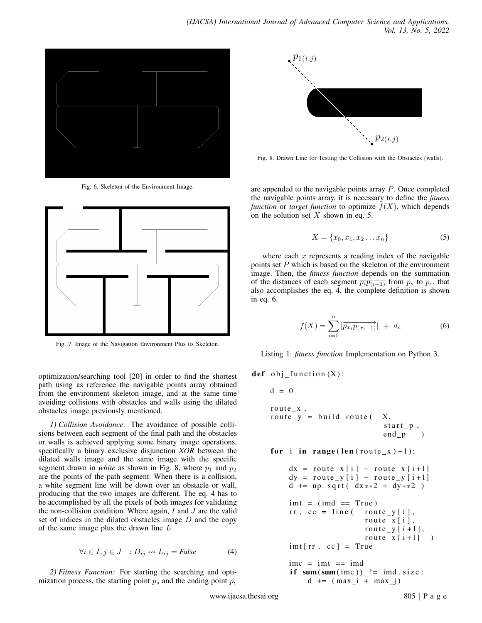

Fig. 6. Skeleton of the Environment Image.



Fig. 7. Image of the Navigation Environment Plus its Skeleton.

optimization/searching tool [20] in order to find the shortest path using as reference the navigable points array obtained from the environment skeleton image, and at the same time avoiding collisions with obstacles and walls using the dilated obstacles image previously mentioned.

*1) Collision Avoidance:* The avoidance of possible collisions between each segment of the final path and the obstacles or walls is achieved applying some binary image operations, specifically a binary exclusive disjunction *XOR* between the dilated walls image and the same image with the specific segment drawn in *white* as shown in Fig. 8, where  $p_1$  and  $p_2$ are the points of the path segment. When there is a collision, a white segment line will be down over an obstacle or wall, producing that the two images are different. The eq. 4 has to be accomplished by all the pixels of both images for validating the non-collision condition. Where again,  $I$  and  $J$  are the valid set of indices in the dilated obstacles image  $D$  and the copy of the same image plus the drawn line L.

$$
\forall i \in I, j \in J : D_{ij} \leftrightarrow L_{ij} = \text{False} \tag{4}
$$

*2) Fitness Function:* For starting the searching and optimization process, the starting point  $p_s$  and the ending point  $p_e$ 



Fig. 8. Drawn Line for Testing the Collision with the Obstacles (walls).

are appended to the navigable points array P. Once completed the navigable points array, it is necessary to define the *fitness function* or *target function* to optimize  $f(X)$ , which depends on the solution set  $X$  shown in eq. 5.

$$
X = \{x_0, x_1, x_2 \dots x_n\}
$$
 (5)

where each  $x$  represents a reading index of the navigable points set P which is based on the skeleton of the environment image. Then, the *fitness function* depends on the summation of the distances of each segment  $\overline{p_i p_{(i+1)}}$  from  $p_s$  to  $p_e$ , that also accomplishes the eq. 4, the complete definition is shown in eq. 6.

$$
f(X) = \sum_{i=0}^{n} |\overrightarrow{p_{x_i} p_{(x_i+1)}}| + d_c \tag{6}
$$

Listing 1: *fitness function* Implementation on Python 3.

def obj function $(X)$ :

```
d = 0route_x,
route_y = build_route (X,start_p,
                            end\_p )
for i in range (len (route_x )-1):
    dx = \text{route}_x[i] - \text{route}_x[i+1]dy = route_y[i] - route_y[i+1]d += np. sqrt( dx**2 + dy**2)
    imt = (imd == True)rr, cc = line route_y[i],
                       route_x[i],
                       route y[i+1],
                       route_x[i+1] )
    int [rr, cc] = True\text{imc} = \text{imt} == \text{imd}if sum ( sum ( time ) ) != imd. size:
         d \leftarrow (max_i + max_j)
```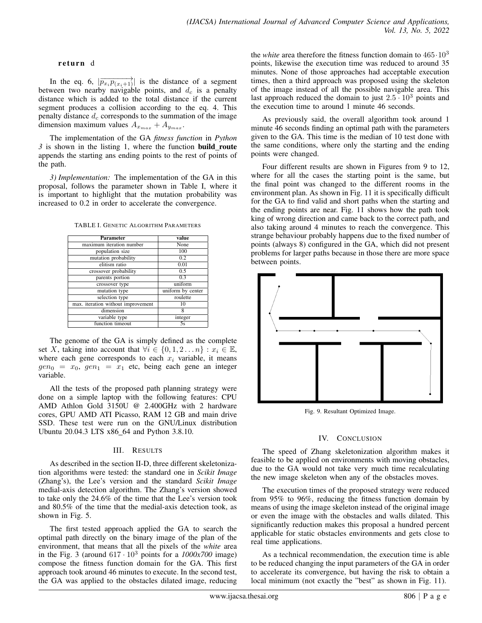#### return d

In the eq. 6,  $|\overrightarrow{p_{x_i}p_{(x_i+1)}}|$  is the distance of a segment between two nearby navigable points, and  $d_c$  is a penalty distance which is added to the total distance if the current segment produces a collision according to the eq. 4. This penalty distance  $d_c$  corresponds to the summation of the image dimension maximum values  $A_{x_{max}} + A_{y_{max}}$ .

The implementation of the GA *fitness function* in *Python 3* is shown in the listing 1, where the function **build\_route** appends the starting ans ending points to the rest of points of the path.

*3) Implementation:* The implementation of the GA in this proposal, follows the parameter shown in Table I, where it is important to highlight that the mutation probability was increased to 0.2 in order to accelerate the convergence.

TABLE I. GENETIC ALGORITHM PARAMETERS

| Parameter                          | value             |
|------------------------------------|-------------------|
| maximum iteration number           | None              |
| population size                    | 100               |
| mutation probability               | 0.2               |
| elitism ratio                      | 0.01              |
| crossover probability              | 0.5               |
| parents portion                    | 0.3               |
| crossover type                     | uniform           |
| mutation type                      | uniform by center |
| selection type                     | roulette          |
| max. iteration without improvement | 10                |
| dimension                          | 8                 |
| variable type                      | integer           |
| function timeout                   | 5s                |

The genome of the GA is simply defined as the complete set X, taking into account that  $\forall i \in \{0, 1, 2 \dots n\} : x_i \in \mathbb{E}$ , where each gene corresponds to each  $x_i$  variable, it means  $gen_0 = x_0$ ,  $gen_1 = x_1$  etc, being each gene an integer variable.

All the tests of the proposed path planning strategy were done on a simple laptop with the following features: CPU AMD Athlon Gold 3150U @ 2.400GHz with 2 hardware cores, GPU AMD ATI Picasso, RAM 12 GB and main drive SSD. These test were run on the GNU/Linux distribution Ubuntu 20.04.3 LTS x86\_64 and Python 3.8.10.

## III. RESULTS

As described in the section II-D, three different skeletonization algorithms were tested: the standard one in *Scikit Image* (Zhang's), the Lee's version and the standard *Scikit Image* medial-axis detection algorithm. The Zhang's version showed to take only the 24.6% of the time that the Lee's version took and 80.5% of the time that the medial-axis detection took, as shown in Fig. 5.

The first tested approach applied the GA to search the optimal path directly on the binary image of the plan of the environment, that means that all the pixels of the *white* area in the Fig. 3 (around  $617 \cdot 10^3$  points for a  $1000x700$  image) compose the fitness function domain for the GA. This first approach took around 46 minutes to execute. In the second test, the GA was applied to the obstacles dilated image, reducing

the *white* area therefore the fitness function domain to 465·10<sup>3</sup> points, likewise the execution time was reduced to around 35 minutes. None of those approaches had acceptable execution times, then a third approach was proposed using the skeleton of the image instead of all the possible navigable area. This last approach reduced the domain to just  $2.5 \cdot 10^3$  points and the execution time to around 1 minute 46 seconds.

As previously said, the overall algorithm took around 1 minute 46 seconds finding an optimal path with the parameters given to the GA. This time is the median of 10 test done with the same conditions, where only the starting and the ending points were changed.

Four different results are shown in Figures from 9 to 12, where for all the cases the starting point is the same, but the final point was changed to the different rooms in the environment plan. As shown in Fig. 11 it is specifically difficult for the GA to find valid and short paths when the starting and the ending points are near. Fig. 11 shows how the path took king of wrong direction and came back to the correct path, and also taking around 4 minutes to reach the convergence. This strange behaviour probably happens due to the fixed number of points (always 8) configured in the GA, which did not present problems for larger paths because in those there are more space between points.



Fig. 9. Resultant Optimized Image.

# IV. CONCLUSION

The speed of Zhang skeletonization algorithm makes it feasible to be applied on environments with moving obstacles, due to the GA would not take very much time recalculating the new image skeleton when any of the obstacles moves.

The execution times of the proposed strategy were reduced from 95% to 96%, reducing the fitness function domain by means of using the image skeleton instead of the original image or even the image with the obstacles and walls dilated. This significantly reduction makes this proposal a hundred percent applicable for static obstacles environments and gets close to real time applications.

As a technical recommendation, the execution time is able to be reduced changing the input parameters of the GA in order to accelerate its convergence, but having the risk to obtain a local minimum (not exactly the "best" as shown in Fig. 11).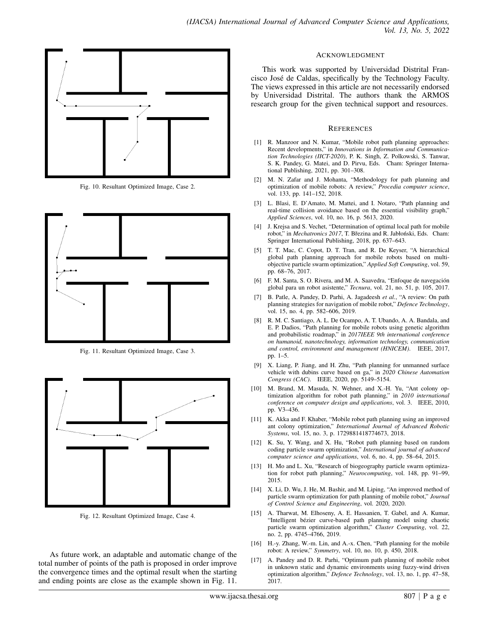

Fig. 10. Resultant Optimized Image, Case 2.



Fig. 11. Resultant Optimized Image, Case 3.



Fig. 12. Resultant Optimized Image, Case 4.

As future work, an adaptable and automatic change of the total number of points of the path is proposed in order improve the convergence times and the optimal result when the starting and ending points are close as the example shown in Fig. 11.

#### ACKNOWLEDGMENT

This work was supported by Universidad Distrital Francisco Jose de Caldas, specifically by the Technology Faculty. ´ The views expressed in this article are not necessarily endorsed by Universidad Distrital. The authors thank the ARMOS research group for the given technical support and resources.

#### **REFERENCES**

- [1] R. Manzoor and N. Kumar, "Mobile robot path planning approaches: Recent developments," in *Innovations in Information and Communication Technologies (IICT-2020)*, P. K. Singh, Z. Polkowski, S. Tanwar, S. K. Pandey, G. Matei, and D. Pirvu, Eds. Cham: Springer International Publishing, 2021, pp. 301–308.
- [2] M. N. Zafar and J. Mohanta, "Methodology for path planning and optimization of mobile robots: A review," *Procedia computer science*, vol. 133, pp. 141–152, 2018.
- [3] L. Blasi, E. D'Amato, M. Mattei, and I. Notaro, "Path planning and real-time collision avoidance based on the essential visibility graph," *Applied Sciences*, vol. 10, no. 16, p. 5613, 2020.
- [4] J. Krejsa and S. Vechet, "Determination of optimal local path for mobile robot," in *Mechatronics 2017*, T. Březina and R. Jabłoński, Eds. Cham: Springer International Publishing, 2018, pp. 637–643.
- [5] T. T. Mac, C. Copot, D. T. Tran, and R. De Keyser, "A hierarchical global path planning approach for mobile robots based on multiobjective particle swarm optimization," *Applied Soft Computing*, vol. 59, pp. 68–76, 2017.
- [6] F. M. Santa, S. O. Rivera, and M. A. Saavedra, "Enfoque de navegación global para un robot asistente," *Tecnura*, vol. 21, no. 51, p. 105, 2017.
- [7] B. Patle, A. Pandey, D. Parhi, A. Jagadeesh *et al.*, "A review: On path planning strategies for navigation of mobile robot," *Defence Technology*, vol. 15, no. 4, pp. 582–606, 2019.
- [8] R. M. C. Santiago, A. L. De Ocampo, A. T. Ubando, A. A. Bandala, and E. P. Dadios, "Path planning for mobile robots using genetic algorithm and probabilistic roadmap," in *2017IEEE 9th international conference on humanoid, nanotechnology, information technology, communication and control, environment and management (HNICEM)*. IEEE, 2017, pp. 1–5.
- [9] X. Liang, P. Jiang, and H. Zhu, "Path planning for unmanned surface vehicle with dubins curve based on ga," in *2020 Chinese Automation Congress (CAC)*. IEEE, 2020, pp. 5149–5154.
- [10] M. Brand, M. Masuda, N. Wehner, and X.-H. Yu, "Ant colony optimization algorithm for robot path planning," in *2010 international conference on computer design and applications*, vol. 3. IEEE, 2010, pp. V3–436.
- [11] K. Akka and F. Khaber, "Mobile robot path planning using an improved ant colony optimization," *International Journal of Advanced Robotic Systems*, vol. 15, no. 3, p. 1729881418774673, 2018.
- [12] K. Su, Y. Wang, and X. Hu, "Robot path planning based on random coding particle swarm optimization," *International journal of advanced computer science and applications*, vol. 6, no. 4, pp. 58–64, 2015.
- [13] H. Mo and L. Xu, "Research of biogeography particle swarm optimization for robot path planning," *Neurocomputing*, vol. 148, pp. 91–99, 2015.
- [14] X. Li, D. Wu, J. He, M. Bashir, and M. Liping, "An improved method of particle swarm optimization for path planning of mobile robot," *Journal of Control Science and Engineering*, vol. 2020, 2020.
- [15] A. Tharwat, M. Elhoseny, A. E. Hassanien, T. Gabel, and A. Kumar, "Intelligent bézier curve-based path planning model using chaotic particle swarm optimization algorithm," *Cluster Computing*, vol. 22, no. 2, pp. 4745–4766, 2019.
- [16] H.-y. Zhang, W.-m. Lin, and A.-x. Chen, "Path planning for the mobile robot: A review," *Symmetry*, vol. 10, no. 10, p. 450, 2018.
- [17] A. Pandey and D. R. Parhi, "Optimum path planning of mobile robot in unknown static and dynamic environments using fuzzy-wind driven optimization algorithm," *Defence Technology*, vol. 13, no. 1, pp. 47–58, 2017.